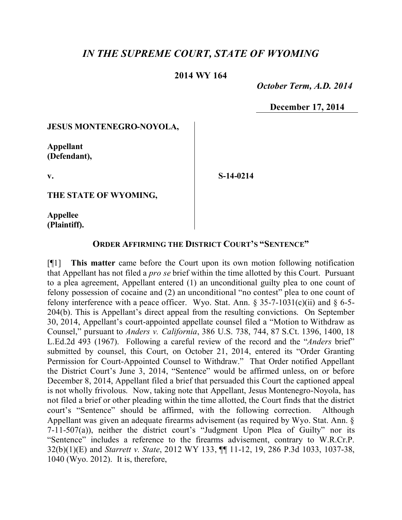## *IN THE SUPREME COURT, STATE OF WYOMING*

## **2014 WY 164**

 *October Term, A.D. 2014*

**December 17, 2014**

## **JESUS MONTENEGRO-NOYOLA,**

**Appellant (Defendant),**

**v.**

**S-14-0214**

**THE STATE OF WYOMING,**

**Appellee (Plaintiff).**

## **ORDER AFFIRMING THE DISTRICT COURT'S "SENTENCE"**

[¶1] **This matter** came before the Court upon its own motion following notification that Appellant has not filed a *pro se* brief within the time allotted by this Court. Pursuant to a plea agreement, Appellant entered (1) an unconditional guilty plea to one count of felony possession of cocaine and (2) an unconditional "no contest" plea to one count of felony interference with a peace officer. Wyo. Stat. Ann.  $\S 35-7-1031(c)(ii)$  and  $\S 6-5-$ 204(b). This is Appellant's direct appeal from the resulting convictions. On September 30, 2014, Appellant's court-appointed appellate counsel filed a "Motion to Withdraw as Counsel," pursuant to *Anders v. California*, 386 U.S. 738, 744, 87 S.Ct. 1396, 1400, 18 L.Ed.2d 493 (1967). Following a careful review of the record and the "*Anders* brief" submitted by counsel, this Court, on October 21, 2014, entered its "Order Granting Permission for Court-Appointed Counsel to Withdraw." That Order notified Appellant the District Court's June 3, 2014, "Sentence" would be affirmed unless, on or before December 8, 2014, Appellant filed a brief that persuaded this Court the captioned appeal is not wholly frivolous. Now, taking note that Appellant, Jesus Montenegro-Noyola, has not filed a brief or other pleading within the time allotted, the Court finds that the district court's "Sentence" should be affirmed, with the following correction. Although Appellant was given an adequate firearms advisement (as required by Wyo. Stat. Ann. § 7-11-507(a)), neither the district court's "Judgment Upon Plea of Guilty" nor its "Sentence" includes a reference to the firearms advisement, contrary to W.R.Cr.P. 32(b)(1)(E) and *Starrett v. State*, 2012 WY 133, ¶¶ 11-12, 19, 286 P.3d 1033, 1037-38, 1040 (Wyo. 2012). It is, therefore,